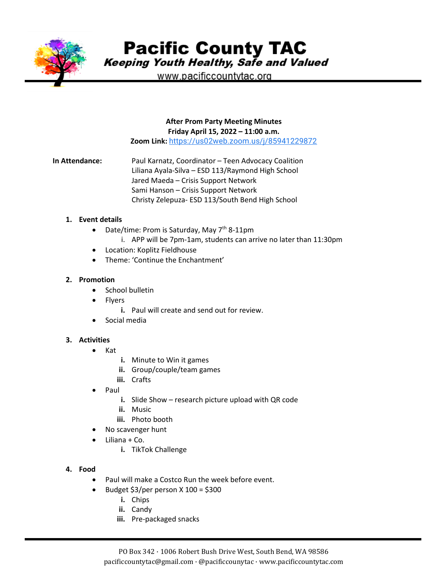

**Pacific County TAC** 

Keeping Youth Healthy, Safe and Valued

www.pacificcountytac.org

#### **After Prom Party Meeting Minutes Friday April 15, 2022 – 11:00 a.m.**

**Zoom Link:** [https://us02web.zoom.us/j/85941229872](https://www.google.com/url?q=https://us02web.zoom.us/j/85941229872&sa=D&source=calendar&usd=2&usg=AOvVaw0TDXeFCaDd_LPldEAkkbWB)

**In Attendance:** Paul Karnatz, Coordinator – Teen Advocacy Coalition Liliana Ayala-Silva – ESD 113/Raymond High School Jared Maeda – Crisis Support Network Sami Hanson – Crisis Support Network Christy Zelepuza- ESD 113/South Bend High School

#### **1. Event details**

- Date/time: Prom is Saturday, May  $7<sup>th</sup>$  8-11pm
	- i. APP will be 7pm-1am, students can arrive no later than 11:30pm
- Location: Koplitz Fieldhouse
- Theme: 'Continue the Enchantment'

### **2. Promotion**

- School bulletin
- **Flyers** 
	- **i.** Paul will create and send out for review.
- Social media

### **3. Activities**

- Kat
	- **i.** Minute to Win it games
	- **ii.** Group/couple/team games
	- **iii.** Crafts
- Paul
	- **i.** Slide Show research picture upload with QR code
	- **ii.** Music
	- **iii.** Photo booth
- No scavenger hunt
- Liliana + Co.
	- **i.** TikTok Challenge
- **4. Food**
	- Paul will make a Costco Run the week before event.
	- Budget  $$3/per$  person X 100 = \$300
		- **i.** Chips
		- **ii.** Candy
		- **iii.** Pre-packaged snacks